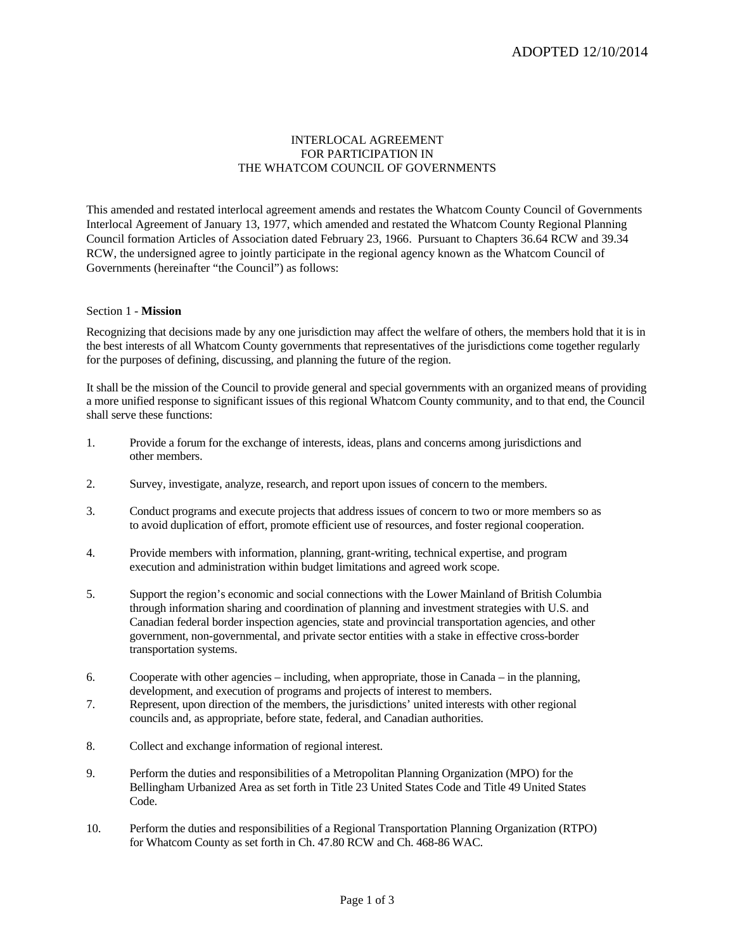# INTERLOCAL AGREEMENT FOR PARTICIPATION IN THE WHATCOM COUNCIL OF GOVERNMENTS

This amended and restated interlocal agreement amends and restates the Whatcom County Council of Governments Interlocal Agreement of January 13, 1977, which amended and restated the Whatcom County Regional Planning Council formation Articles of Association dated February 23, 1966. Pursuant to Chapters 36.64 RCW and 39.34 RCW, the undersigned agree to jointly participate in the regional agency known as the Whatcom Council of Governments (hereinafter "the Council") as follows:

# Section 1 - **Mission**

Recognizing that decisions made by any one jurisdiction may affect the welfare of others, the members hold that it is in the best interests of all Whatcom County governments that representatives of the jurisdictions come together regularly for the purposes of defining, discussing, and planning the future of the region.

It shall be the mission of the Council to provide general and special governments with an organized means of providing a more unified response to significant issues of this regional Whatcom County community, and to that end, the Council shall serve these functions:

- 1. Provide a forum for the exchange of interests, ideas, plans and concerns among jurisdictions and other members.
- 2. Survey, investigate, analyze, research, and report upon issues of concern to the members.
- 3. Conduct programs and execute projects that address issues of concern to two or more members so as to avoid duplication of effort, promote efficient use of resources, and foster regional cooperation.
- 4. Provide members with information, planning, grant-writing, technical expertise, and program execution and administration within budget limitations and agreed work scope.
- 5. Support the region's economic and social connections with the Lower Mainland of British Columbia through information sharing and coordination of planning and investment strategies with U.S. and Canadian federal border inspection agencies, state and provincial transportation agencies, and other government, non-governmental, and private sector entities with a stake in effective cross-border transportation systems.
- 6. Cooperate with other agencies including, when appropriate, those in Canada in the planning, development, and execution of programs and projects of interest to members.
- 7. Represent, upon direction of the members, the jurisdictions' united interests with other regional councils and, as appropriate, before state, federal, and Canadian authorities.
- 8. Collect and exchange information of regional interest.
- 9. Perform the duties and responsibilities of a Metropolitan Planning Organization (MPO) for the Bellingham Urbanized Area as set forth in Title 23 United States Code and Title 49 United States Code.
- 10. Perform the duties and responsibilities of a Regional Transportation Planning Organization (RTPO) for Whatcom County as set forth in Ch. 47.80 RCW and Ch. 468-86 WAC.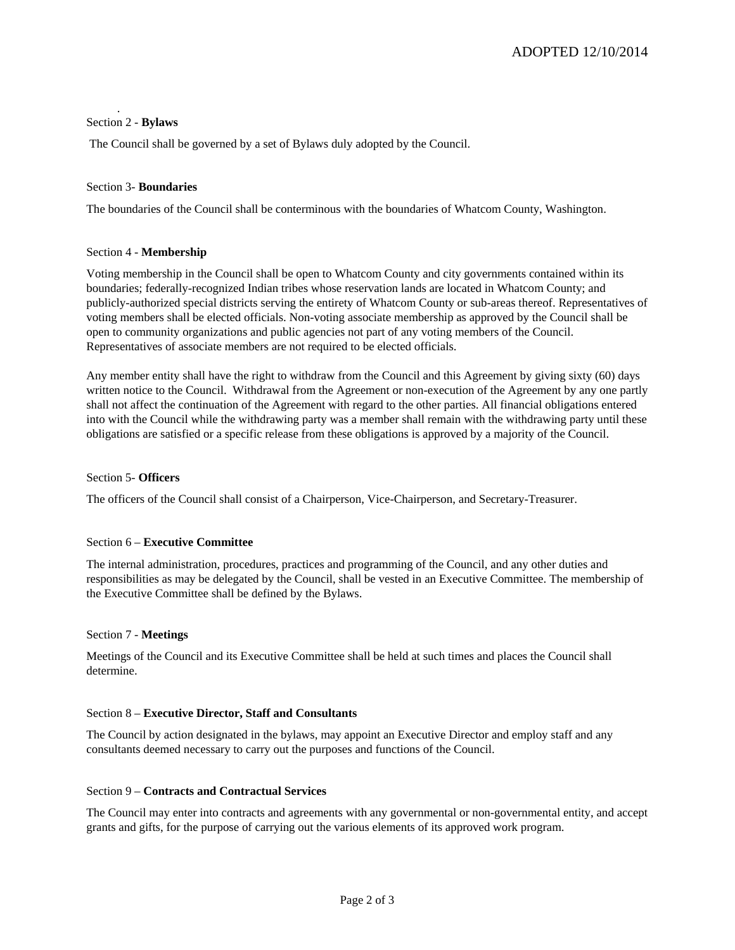# Section 2 - **Bylaws**

.

The Council shall be governed by a set of Bylaws duly adopted by the Council.

# Section 3- **Boundaries**

The boundaries of the Council shall be conterminous with the boundaries of Whatcom County, Washington.

# Section 4 - **Membership**

Voting membership in the Council shall be open to Whatcom County and city governments contained within its boundaries; federally-recognized Indian tribes whose reservation lands are located in Whatcom County; and publicly-authorized special districts serving the entirety of Whatcom County or sub-areas thereof. Representatives of voting members shall be elected officials. Non-voting associate membership as approved by the Council shall be open to community organizations and public agencies not part of any voting members of the Council. Representatives of associate members are not required to be elected officials.

Any member entity shall have the right to withdraw from the Council and this Agreement by giving sixty (60) days written notice to the Council. Withdrawal from the Agreement or non-execution of the Agreement by any one partly shall not affect the continuation of the Agreement with regard to the other parties. All financial obligations entered into with the Council while the withdrawing party was a member shall remain with the withdrawing party until these obligations are satisfied or a specific release from these obligations is approved by a majority of the Council.

# Section 5- **Officers**

The officers of the Council shall consist of a Chairperson, Vice-Chairperson, and Secretary-Treasurer.

# Section 6 – **Executive Committee**

The internal administration, procedures, practices and programming of the Council, and any other duties and responsibilities as may be delegated by the Council, shall be vested in an Executive Committee. The membership of the Executive Committee shall be defined by the Bylaws.

#### Section 7 - **Meetings**

Meetings of the Council and its Executive Committee shall be held at such times and places the Council shall determine.

#### Section 8 – **Executive Director, Staff and Consultants**

The Council by action designated in the bylaws, may appoint an Executive Director and employ staff and any consultants deemed necessary to carry out the purposes and functions of the Council.

## Section 9 – **Contracts and Contractual Services**

The Council may enter into contracts and agreements with any governmental or non-governmental entity, and accept grants and gifts, for the purpose of carrying out the various elements of its approved work program.